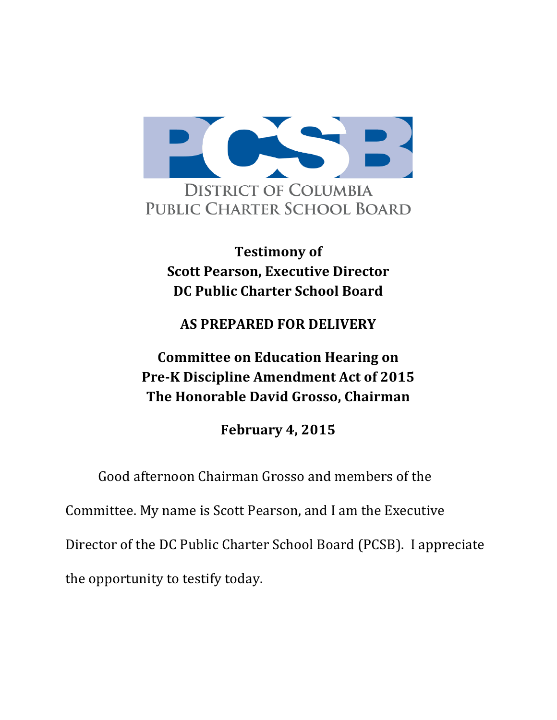

**Testimony of Scott Pearson, Executive Director DC Public Charter School Board**

## **AS PREPARED FOR DELIVERY**

## **Committee on Education Hearing on Pre-K Discipline Amendment Act of 2015 The Honorable David Grosso, Chairman**

**February 4, 2015** 

Good afternoon Chairman Grosso and members of the

Committee. My name is Scott Pearson, and I am the Executive

Director of the DC Public Charter School Board (PCSB). I appreciate

the opportunity to testify today.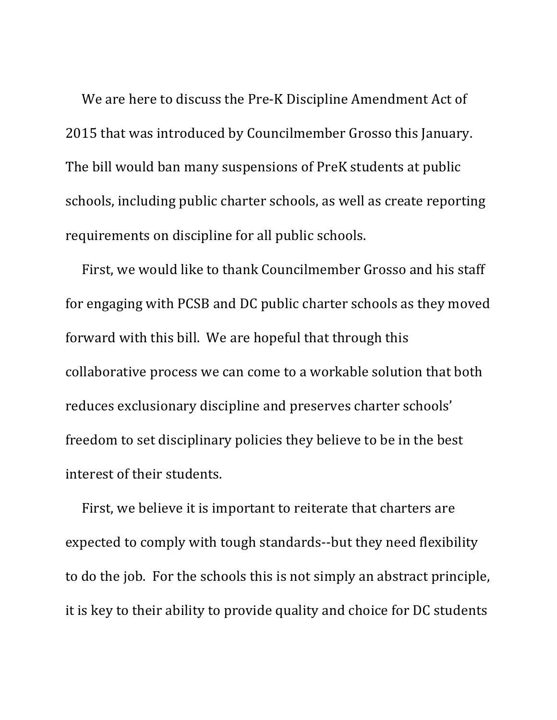We are here to discuss the Pre-K Discipline Amendment Act of 2015 that was introduced by Councilmember Grosso this January. The bill would ban many suspensions of PreK students at public schools, including public charter schools, as well as create reporting requirements on discipline for all public schools.

First, we would like to thank Councilmember Grosso and his staff for engaging with PCSB and DC public charter schools as they moved forward with this bill. We are hopeful that through this collaborative process we can come to a workable solution that both reduces exclusionary discipline and preserves charter schools' freedom to set disciplinary policies they believe to be in the best interest of their students.

First, we believe it is important to reiterate that charters are expected to comply with tough standards--but they need flexibility to do the job. For the schools this is not simply an abstract principle, it is key to their ability to provide quality and choice for DC students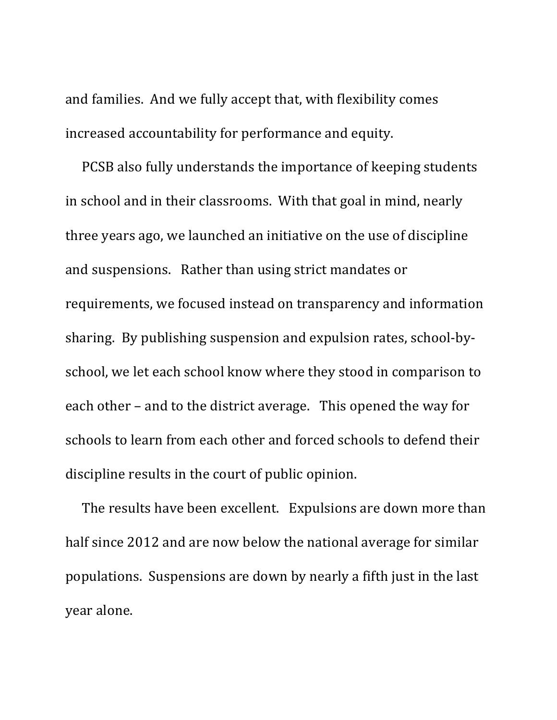and families. And we fully accept that, with flexibility comes increased accountability for performance and equity.

PCSB also fully understands the importance of keeping students in school and in their classrooms. With that goal in mind, nearly three years ago, we launched an initiative on the use of discipline and suspensions. Rather than using strict mandates or requirements, we focused instead on transparency and information sharing. By publishing suspension and expulsion rates, school-byschool, we let each school know where they stood in comparison to each other – and to the district average. This opened the way for schools to learn from each other and forced schools to defend their discipline results in the court of public opinion.

The results have been excellent. Expulsions are down more than half since 2012 and are now below the national average for similar populations. Suspensions are down by nearly a fifth just in the last year alone.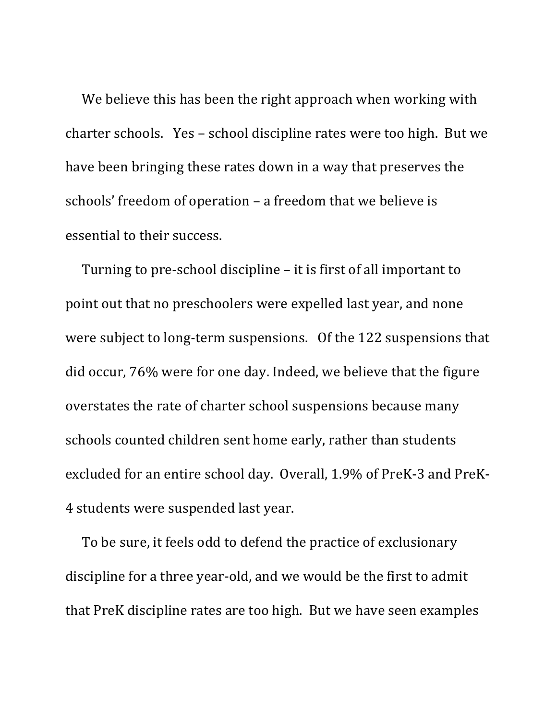We believe this has been the right approach when working with charter schools. Yes - school discipline rates were too high. But we have been bringing these rates down in a way that preserves the schools' freedom of operation – a freedom that we believe is essential to their success.

Turning to pre-school discipline  $-$  it is first of all important to point out that no preschoolers were expelled last year, and none were subject to long-term suspensions. Of the 122 suspensions that did occur, 76% were for one day. Indeed, we believe that the figure overstates the rate of charter school suspensions because many schools counted children sent home early, rather than students excluded for an entire school day. Overall, 1.9% of PreK-3 and PreK-4 students were suspended last year.

To be sure, it feels odd to defend the practice of exclusionary discipline for a three year-old, and we would be the first to admit that PreK discipline rates are too high. But we have seen examples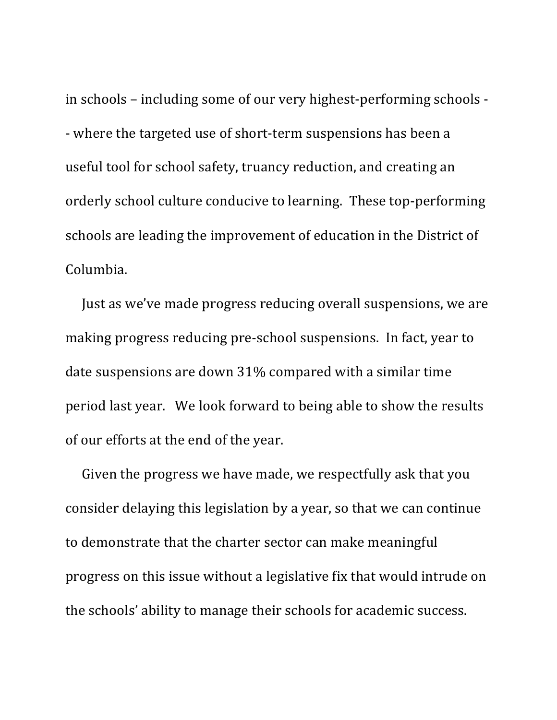in schools – including some of our very highest-performing schools -- where the targeted use of short-term suspensions has been a useful tool for school safety, truancy reduction, and creating an orderly school culture conducive to learning. These top-performing schools are leading the improvement of education in the District of Columbia. 

Just as we've made progress reducing overall suspensions, we are making progress reducing pre-school suspensions. In fact, year to date suspensions are down 31% compared with a similar time period last year. We look forward to being able to show the results of our efforts at the end of the year.

Given the progress we have made, we respectfully ask that you consider delaying this legislation by a year, so that we can continue to demonstrate that the charter sector can make meaningful progress on this issue without a legislative fix that would intrude on the schools' ability to manage their schools for academic success.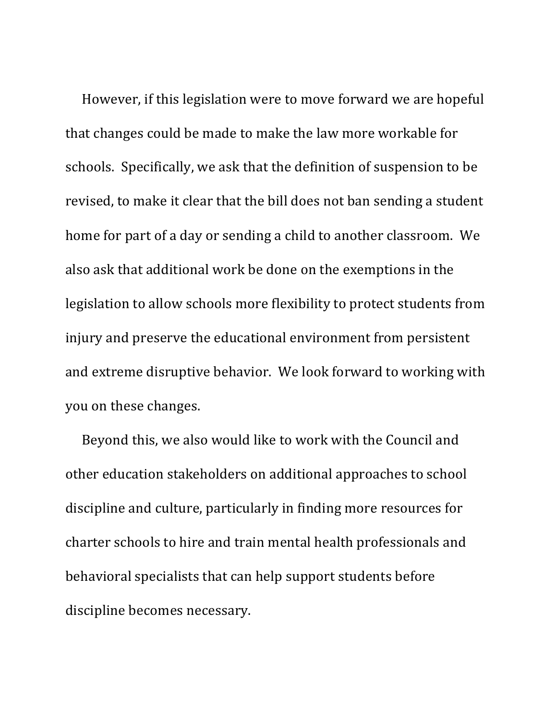However, if this legislation were to move forward we are hopeful that changes could be made to make the law more workable for schools. Specifically, we ask that the definition of suspension to be revised, to make it clear that the bill does not ban sending a student home for part of a day or sending a child to another classroom. We also ask that additional work be done on the exemptions in the legislation to allow schools more flexibility to protect students from injury and preserve the educational environment from persistent and extreme disruptive behavior. We look forward to working with you on these changes.

Beyond this, we also would like to work with the Council and other education stakeholders on additional approaches to school discipline and culture, particularly in finding more resources for charter schools to hire and train mental health professionals and behavioral specialists that can help support students before discipline becomes necessary.